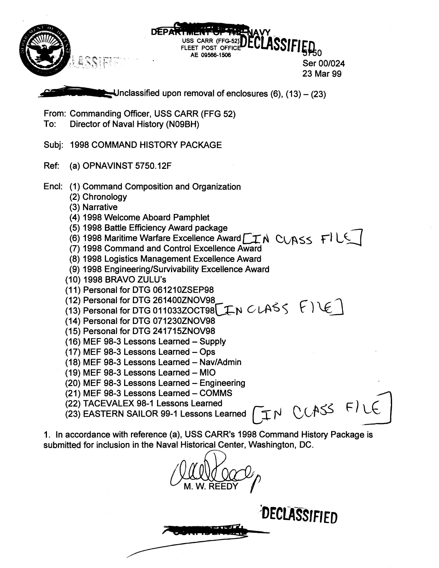

**TYPE** 

DECLASSIFIED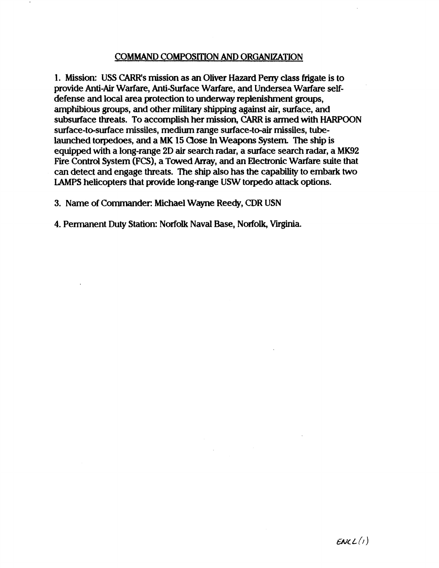## COMMAND COMPOSITION AND ORGANIZATION

1. Mission: **US CARR's** mission as an Oliver **Hazard Peny class** frigate is to provide Anti-Air Warfare, Anti-Surface Warfare, and Undersea Warfare selfdefense and local area protection to underway replenishment groups, amphibious groups, and other military shipping against air, **surface,** and subsurface **threats.** To accomplish her mission, CARR is armed **with** HARPOON surface-to-surface missiles, medium range surface-to-air missiles, **tube**launched torpedoes, and **3** MK 15 Qose In Weapons System **The** ship is equipped with a long-range 2D air search radar, a surface search radar, a MK92 Fire Control System **(FCS),** a Towed Array, and **an** Electronic Warfare suite that can detect and engage threats. The ship also has the **capability** to embark two **LAMPS** helicopters that provide long-range USW torpedo attack options.

3. Name of Commander: Michael Wayne Reedy, CDR USN

4. Permanent Duty Station: **Norfolk** Naval Base, Norfolk, **Vuginia.**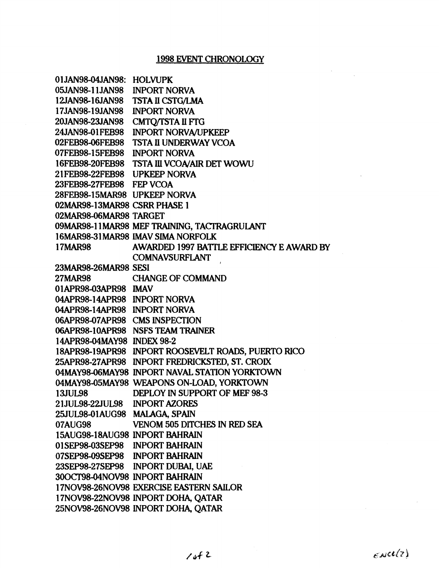| 01JAN98-04JAN98: HOLVUPK       |                                                     |
|--------------------------------|-----------------------------------------------------|
| 05JAN98-11JAN98                | <b>INPORT NORVA</b>                                 |
| 12JAN98-16JAN98                | <b>TSTA II CSTG/LMA</b>                             |
| 17JAN98-19JAN98                | <b>INPORT NORVA</b>                                 |
| 20JAN98-23JAN98                | <b>CMTQ/TSTA II FTG</b>                             |
| 24JAN98-01FEB98                | <b>INPORT NORVA/UPKEEP</b>                          |
| 02FEB98-06FEB98                | <b>TSTA II UNDERWAY VCOA</b>                        |
| 07FEB98-15FEB98                | <b>INPORT NORVA</b>                                 |
| 16FEB98-20FEB98                | <b>TSTA III VCOA/AIR DET WOWU</b>                   |
| 21FEB98-22FEB98 UPKEEP NORVA   |                                                     |
| 23FEB98-27FEB98 FEP VCOA       |                                                     |
| 28FEB98-15MAR98 UPKEEP NORVA   |                                                     |
| 02MAR98-13MAR98 CSRR PHASE 1   |                                                     |
| 02MAR98-06MAR98 TARGET         |                                                     |
|                                | 09MAR98-11MAR98 MEF TRAINING, TACTRAGRULANT         |
|                                | 16MAR98-31MAR98 IMAV SIMA NORFOLK                   |
| <b>17MAR98</b>                 | AWARDED 1997 BATTLE EFFICIENCY E AWARD BY           |
|                                | <b>COMNAVSURFLANT</b>                               |
| 23MAR98-26MAR98 SESI           |                                                     |
|                                | 27MAR98 CHANGE OF COMMAND                           |
| 01APR98-03APR98 IMAV           |                                                     |
| 04APR98-14APR98 INPORT NORVA   |                                                     |
| 04APR98-14APR98 INPORT NORVA   |                                                     |
| 06APR98-07APR98 CMS INSPECTION |                                                     |
|                                | 06APR98-10APR98 NSFS TEAM TRAINER                   |
| 14APR98-04MAY98 INDEX 98-2     |                                                     |
|                                | 18APR98-19APR98 INPORT ROOSEVELT ROADS, PUERTO RICO |
|                                | 25APR98-27APR98 INPORT FREDRICKSTED, ST. CROIX      |
|                                | 04MAY98-06MAY98 INPORT NAVAL STATION YORKTOWN       |
|                                | 04MAY98-05MAY98 WEAPONS ON-LOAD, YORKTOWN           |
| <b>13JUL98</b>                 | DEPLOY IN SUPPORT OF MEF 98-3                       |
| 21JUL98-22JUL98 INPORT AZORES  |                                                     |
| 25JUL98-01AUG98 MALAGA, SPAIN  |                                                     |
| 07AUG98                        | <b>VENOM 505 DITCHES IN RED SEA</b>                 |
| 15AUG98-18AUG98 INPORT BAHRAIN |                                                     |
| 01SEP98-03SEP98 INPORT BAHRAIN |                                                     |
| 07SEP98-09SEP98 INPORT BAHRAIN |                                                     |
|                                | 23SEP98-27SEP98 INPORT DUBAI, UAE                   |
| 30OCT98-04NOV98 INPORT BAHRAIN |                                                     |
|                                | 17NOV98-26NOV98 EXERCISE EASTERN SAILOR             |
|                                | 17NOV98-22NOV98 INPORT DOHA, QATAR                  |
|                                | 25NOV98-26NOV98 INPORT DOHA, QATAR                  |

 $\epsilon$ NCU(2)

 $\sim$   $\alpha$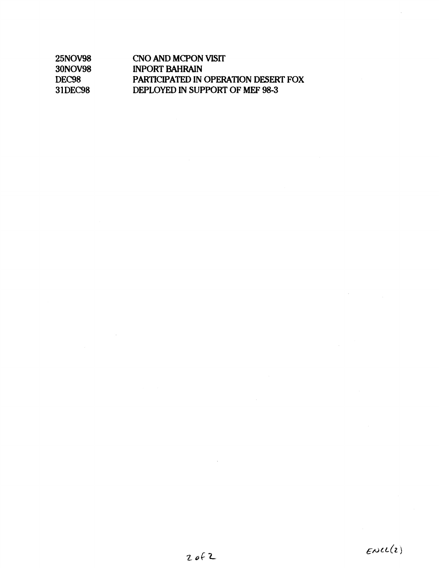| <b>25NOV98</b>    | CNO AND MCPON VISIT                         |
|-------------------|---------------------------------------------|
| 30NOV98           | <b>INPORT BAHRAIN</b>                       |
| DEC <sub>98</sub> | <b>PARTICIPATED IN OPERATION DESERT FOX</b> |
| 31DEC98           | DEPLOYED IN SUPPORT OF MEF 98-3             |

 $\sim$ 

 $\sim$   $\sim$ 

 $\hat{\boldsymbol{\beta}}$ 

 $\hat{\mathcal{L}}$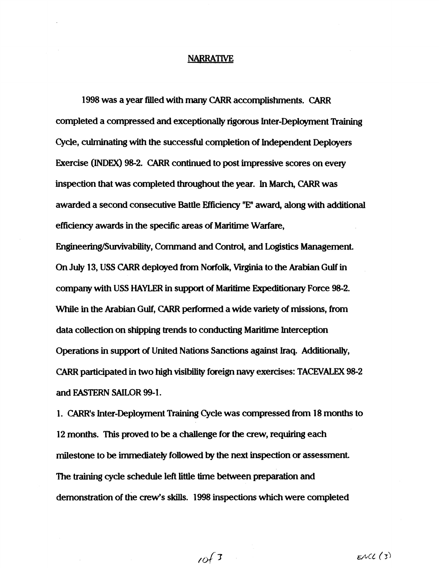#### **NARRATIVE**

1998 was a year filled with mimy CARR accomplishments. *CARR*  completed a compressed and exceptionally rigorous Inter-Deployment **Training**  Cycle, culminating with the successful completion of Independent Deployers Exercise **(INDEX)** 98-2. CARR continued to post impressive scores on every inspection that was completed throughout the **year.** In **March,** CARR was awarded a second consecutive Battle Effiaency **"E"** award, along with additional efficiency awards in the specific **areas of** Maritime Warfare,

Engineering/Survivability, Command and Control, and Logistics Management. On July 13, USS CARR deployed from Norfolk, Viiginia to the Arabian Gulf in company with **USS HAYLER** in **support** of Maritime Esrpeditionaq Force 98-2. While in the Arabian Gulf, CARR performed a wide variety of missions, from data collection on shipping trends to conducting Maritime Interception Operations in support of United **Nations** Sanctions against Iraq. Additionally, CARR participated in two high visibility foreign navy exercises: TACEVALEX 98-2 and **EASTERN SAILOR** 99-1.

1. CARR's Inter-Deployment Training Cycle was compressed from 18 months to 12 months. This proved to be a challenge for the crew, requiring each milestone to be immediately followed by the next inspection or assessment. The training cycle schedule left little time between preparation and demonstration of the crew's skills. 1998 inspections which were completed

 $10^{6}$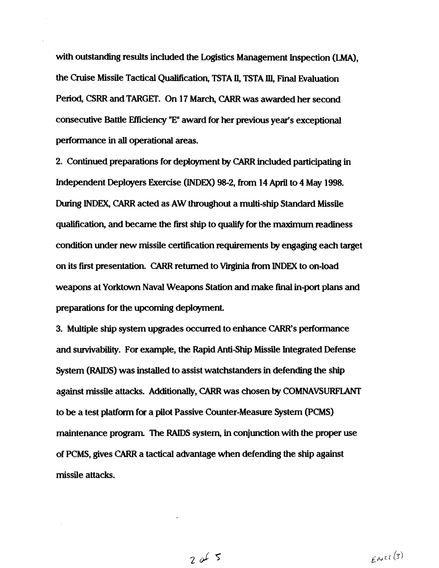with outstanding results included the Logistics Management Inspection **(LMA),**  the Cruise Missile Tactical Qualification, TSTA **II,** TSTA **111,** Final Evaluation Period, **CSRR** and **TARGET.** On 17 March, CARR was awarded her second consecutive Battle Efficiency **"El'** award for **her** previous year's exceptional performance in all operational areas.

2. Continued preparations for deployment by CARR included participating in Independent Deployers Exercise **(INDEX)** 98-2, from 14 April to 4 May 1998. During **INDEX,** CARR acted as AW throughout a multi-ship Standard Missile qualification, and became the first ship to qualify for the maximum readiness condition under new missile certification requirements by engaging each target on its first presentation. CARR returned to Virginia from **INDEX** to on-load weapons at Yorktown Naval Weapons Station and make final in-port plans and preparations for the upcoming deployment.

3. Multiple ship system upgrades occurred to enhame CARR's performance and survivability. For **example,** the Rapid Antiship **Missile** Integrated Defense System **(RAIDS)** was installed to assist watchstanders in defending the ship against missile attacks. Additionally, CARR was chosen by COMNAVSURFLANT to be a test platform for a pilot Passive Counter-Measure System **(PCMS)**  maintenance **program.** The **RAIDS** system, in conjunction with the proper use of PCMS, gives CARR a tactical actvantage when defending the ship against missile attacks.

 $2065$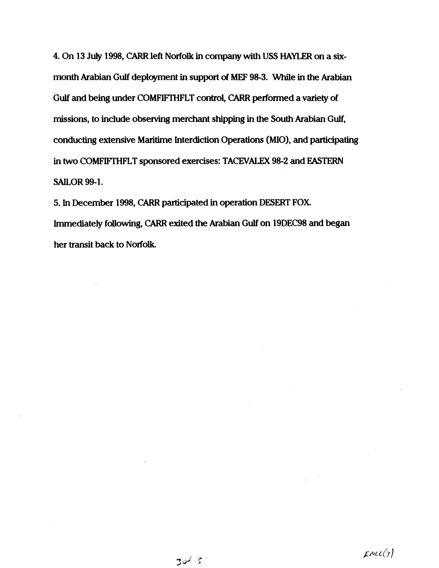4. On 13 July 1998, CARR left Norfolk in company with USS HAYLER on a sixmonth Arabian Gulf deployment in support of MEF 98-3. While in the Arabian Gulf and being under COMFIFTHFLT control, CARR performed a variety of missions, to include observing merchant shipping in the South Arabian Gulf, conducting extensive Maritime Interdiction Operations **(MIO),** and **participating**  in **two** COMFIFTHFLT sponsored exercises: TACEVALEX 98-2 and EASTERN SAILOR 99-1.

5. In December 1998, CARR participated **irl** operation DESERT **FOX**  mediately following, CARR exited the Arabian **Gulf** on 19DEC98 and began her transit back to Norfolk.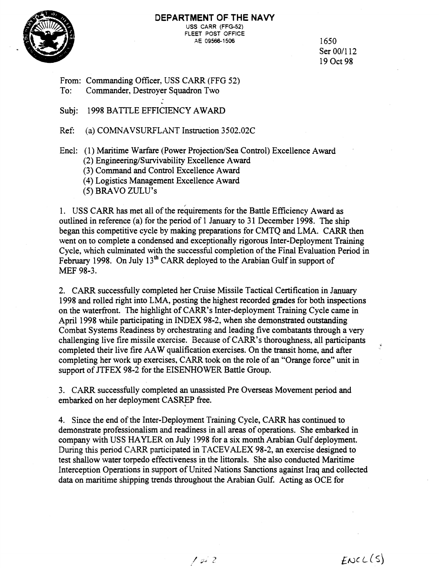

#### **DEPARTMENT OF THE NAVY USS** CARR **(FFG-52)**  FLEET POST OFFICE **AE 09566-1 506** 1650

Ser 00/112 19 Oct 98

From: Commanding Officer, USS CARR (FFG 52)<br>To: Commander, Destrover Squadron Two

Commander, Destroyer Squadron Two

Subj: 1998 BATTLE EFFICIENCY AWARD

Ref: (a) COMNAVSURFLAVT Instruction 3502.02C

Encl: (1) Maritime Warfare (Power Projection/Sea Control) Excellence Award

(2) Engineering/Survivability Excellence Award

**(3)** Command and Control Excellence Award

(4) Logistics Management Excellence Award

(5) BRAVO ZULU'S

1. USS CARR has met all of the requirements for the Battle Efficiency Award as outlined in reference (a) for the period of 1 January to 31 December 1998. The ship began this competitive cycle by making preparations for CMTQ and LMA. CARR then went on to complete a condensed and exceptionally rigorous Inter-Deployment Training Cycle, which culminated with the successful completion of the Final Evaluation Period in February 1998. On July 13<sup>th</sup> CARR deployed to the Arabian Gulf in support of MEF 98-3.

2. CARR successfully completed her Cruise Missile Tactical Certification in January 1998 and rolled right into LMA, posting the highest recorded grades for both inspections on the waterfront. The highlight of CARR's Inter-deployment Training Cycle came in April 1998 while participating in INDEX 98-2, when she demonstrated outstanding Combat Systems Readiness by orchestrating and leading five combatants through a very challenging live fire missile exercise. Because of CARR's thoroughness, all participants completed their live fire AAW qualification exercises. On the transit home, and after completing her work up exercises, CARR took on the role of an "Orange force" unit in support of JTFEX 98-2 for the EISENHOWER Battle Group.

3. CARR successfully completed an unassisted Pre Overseas Movement period and embarked on her deployment CASREP free.

4. Since the end of the Inter-Deployment Training Cycle, CARR has continued to demonstrate professionalism and readiness in all areas of operations. She embarked in company with USS HAYLER on July 1998 for a six month Arabian Gulf deployment. During this period CARR participated in TACEVALEX 98-2, an exercise designed to test shallow water torpedo effectiveness in the littorals. She also conducted Maritime Interception Operations in support of United Nations Sanctions against Iraq and collected data on maritime shipping trends throughout the Arabian Gulf. Acting as OCE for

 $ENC(L(S)$ 

 $10i2$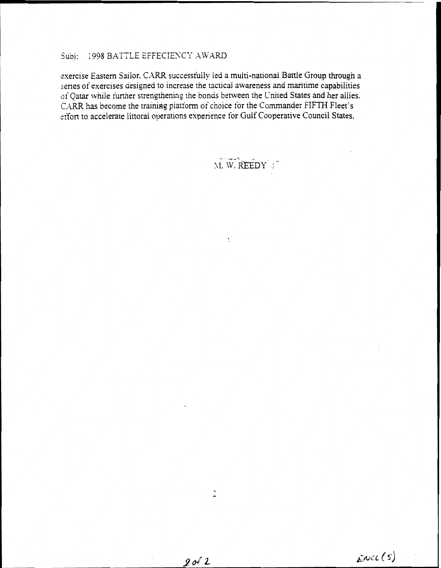#### 1998 BATTLE EFFECIENCY AWARD Subi:

exercise Eastern Sailor. CARR successfully led a multi-national Battle Group through a series of exercises designed to increase the tactical awareness and maritime capabilities of Qatar while further strengthening the bonds between the United States and her allies. CARR has become the training platform of choice for the Commander FIFTH Fleet's effort to accelerate littoral operations experience for Gulf Cooperative Council States.

M. W. REEDY

Å

 $\ddot{ }$ 

 $2012$ 

# $Enc(s)$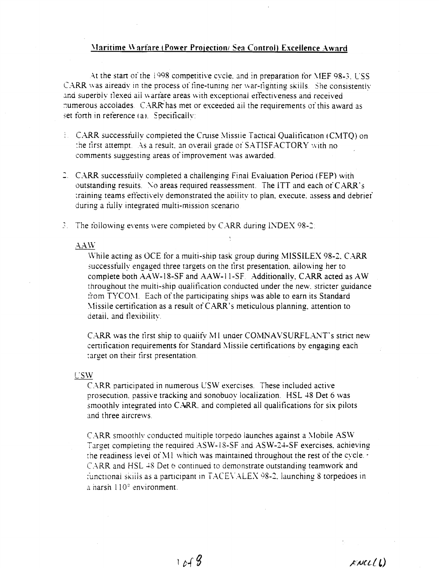# Maritime Warfare (Power Projection/ Sea Control) Excellence Award

At the start of the 1998 competitive cycle, and in preparation for MEF 98-3. USS CARR was already in the process of fine-tuning her war-righting skills. She consistently and superbly flexed all warfare areas with exceptional effectiveness and received numerous accolades. CARR has met or exceeded all the requirements of this award as set forth in reference (a). Specifically:

- L. CARR successfully completed the Cruise Missile Tactical Qualification (CMTO) on the first attempt. As a result, an overall grade of SATISFACTORY with no comments suggesting areas of improvement was awarded.
- 2. CARR successfully completed a challenging Final Evaluation Period (FEP) with outstanding results. No areas required reassessment. The ITT and each of CARR's training teams effectively demonstrated the ability to plan, execute, assess and debrief during a fully integrated multi-mission scenario.
- $\Im$ . The following events were completed by CARR during INDEX 98-2:

#### **AAW**

While acting as OCE for a multi-ship task group during MISSILEX 98-2, CARR successfully engaged three targets on the first presentation, allowing her to complete both AAW-18-SF and AAW-11-SF. Additionally, CARR acted as AW throughout the multi-ship qualification conducted under the new, stricter guidance from TYCOM. Each of the participating ships was able to earn its Standard Missile certification as a result of CARR's meticulous planning, attention to detail, and flexibility.

CARR was the first ship to qualify M1 under COMNAVSURFLANT's strict new certification requirements for Standard Missile certifications by engaging each target on their first presentation.

#### **USW**

CARR participated in numerous USW exercises. These included active prosecution, passive tracking and sonobuov localization. HSL 48 Det 6 was smoothly integrated into CARR, and completed all qualifications for six pilots and three aircrews.

CARR smoothly conducted multiple torpedo launches against a Mobile ASW Target completing the required ASW-18-SF and ASW-24-SF exercises, achieving the readiness level of M1 which was maintained throughout the rest of the cycle. CARR and HSL 48 Det 6 continued to demonstrate outstanding teamwork and functional skills as a participant in TACEVALEX 98-2, launching 8 torpedoes in a harsh  $110^{\circ}$  environment.

 $KNL(L)$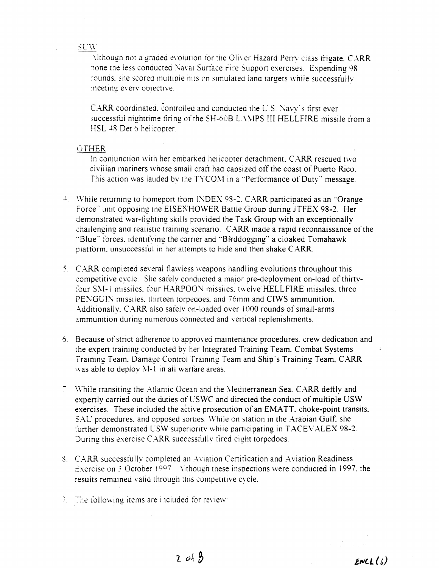#### **SUW**

Although not a graded evolution for the Oliver Hazard Perry class frigate, CARR none the less conducted Naval Surface Fire Support exercises. Expending 98 rounds, she scored multiple hits on simulated land targets while successfully meeting every objective.

CARR coordinated, controlled and conducted the U.S. Navy's first ever successful nighttime firing of the SH-60B LAMPS III HELLFIRE missile from a HSL 48 Det 6 helicopter.

#### **OTHER**

In conjunction with her embarked helicopter detachment, CARR rescued two civilian mariners whose small craft had capsized off the coast of Puerto Rico This action was lauded by the TYCOM in a "Performance of Duty" message.

- 4 While returning to homeport from INDEX 98-2, CARR participated as an "Orange" Force" unit opposing the EISENHOWER Battle Group during JTFEX 98-2. Her demonstrated war-fighting skills provided the Task Group with an exceptionally challenging and realistic training scenario. CARR made a rapid reconnaissance of the "Blue" forces, identifying the carrier and "Birddogging" a cloaked Tomahawk platform, unsuccessful in her attempts to hide and then shake CARR.
- 5. CARR completed several flawless weapons handling evolutions throughout this competitive cycle. She safely conducted a major pre-deployment on-load of thirtyfour SM-1 missiles, four HARPOON missiles, twelve HELLFIRE missiles, three PENGUIN missiles, thirteen torpedoes, and 76mm and CIWS ammunition. Additionally, CARR also safely on-loaded over 1000 rounds of small-arms ammunition during numerous connected and vertical replenishments.
- 6. Because of strict adherence to approved maintenance procedures, crew dedication and the expert training conducted by her Integrated Training Team, Combat Systems Training Team, Damage Control Training Team and Ship's Training Team, CARR was able to deploy M-1 in all warrare areas.
- 7 While transiting the Atlantic Ocean and the Mediterranean Sea, CARR deftly and expertly carried out the duties of USWC and directed the conduct of multiple USW exercises. These included the active prosecution of an EMATT, choke-point transits, SAU procedures, and opposed sorties. While on station in the Arabian Gulf, she further demonstrated USW superiority while participating in TACEVALEX 98-2. During this exercise CARR successfully fired eight torpedoes.
- 3. CARR successfully completed an Aviation Certification and Aviation Readiness Exercise on 3 October 1997 Although these inspections were conducted in 1997, the results remained valid through this competitive cycle.
- $\subset$ The following items are included for review: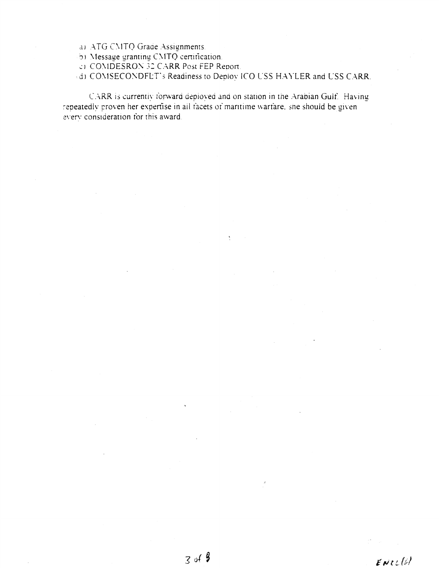a) ATG CMTQ Grade Assignments.

b) Message granting CMTQ certification.

CI COMDESRON 32 CARR Post FEP Report.

(d) COMSECONDFLT's Readiness to Deploy ICO USS HAYLER and USS CARR.

 $\sum_{i=1}^n \alpha_i$ 

CARR is currently forward deployed and on station in the Arabian Gulf. Having repeatedly proven her expertise in all facets of maritime warrare, she should be given every consideration for this award.

 $ENTU$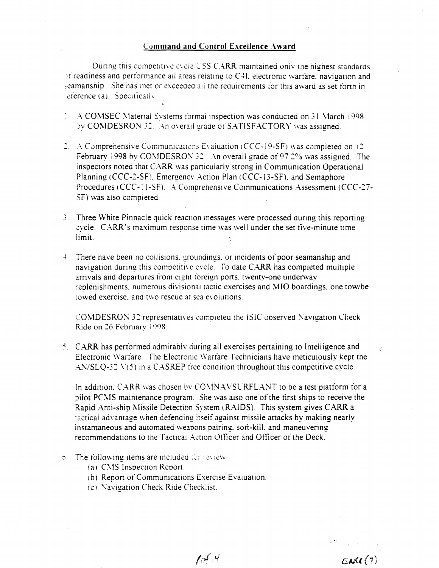### **Command and Control Excellence Award**

During this competitive evole USS CARR maintained only the highest standards of readiness and performance all areas relating to C4I, electronic warfare, navigation and seamanship. She has met or exceeded all the requirements for this award as set forth in reference (a). Specifically

- A COMSEC Material Systems formal inspection was conducted on 31 March 1998 by COMDESRON 32. An overall grade of SATISFACTORY was assigned.
- 2. A Comprehensive Communications Evaluation (CCC-19-SF) was completed on 12 February 1998 by COMDESRON 32. An overall grade of 97.2% was assigned. The inspectors noted that CARR was particularly strong in Communication Operational Planning (CCC-2-SF), Emergency Action Plan (CCC-13-SF), and Semaphore Procedures (CCC-11-SF). A Comprehensive Communications Assessment (CCC-27-SF) was also completed.
- 3. Three White Pinnacle quick reaction messages were processed during this reporting evele. CARR's maximum response time was well under the set five-minute time limit.
- $\frac{1}{2}$ . There have been no collisions, groundings, or incidents of poor seamanship and navigation during this competitive cycle. To date CARR has completed multiple arrivals and departures from eight foreign ports, twenty-one underway replenishments, numerous divisional tactic exercises and MIO boardings, one tow/be towed exercise, and two rescue at sea evolutions.

COMDESRON 32 representatives completed the ISIC observed Navigation Check Ride on 26 February 1998.

5. CARR has performed admirably during all exercises pertaining to Intelligence and Electronic Warfare. The Electronic Warfare Technicians have meticulously kept the  $AN/SLQ-32$   $V(5)$  in a CASREP free condition throughout this competitive cycle.

In addition, CARR was chosen by COMNAVSURFLANT to be a test platform for a pilot PCMS maintenance program. She was also one of the first ships to receive the Rapid Anti-ship Missile Detection System (RAIDS). This system gives CARR a tactical advantage when defending itself against missile attacks by making nearly instantaneous and automated weapons pairing, soft-kill, and maneuvering recommendations to the Tactical Action Officer and Officer of the Deck.

- 6. The following items are included for review:
	- (a) CMS Inspection Report.
	- (b) Report of Communications Exercise Evaluation.
	- (c) Navigation Check Ride Checklist.

 $1014$ 

 $EM(1)$